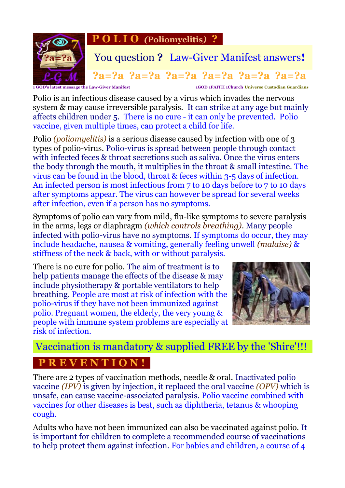

Polio is an infectious disease caused by a virus which invades the nervous system & may cause irreversible paralysis. It can strike at any age but mainly affects children under 5. There is no cure - it can only be prevented. Polio vaccine, given multiple times, can protect a child for life.

Polio *(poliomyelitis)* is a serious disease caused by infection with one of 3 types of polio-virus. Polio-virus is spread between people through contact with infected feces & throat secretions such as saliva. Once the virus enters the body through the mouth, it multiplies in the throat & small intestine. The virus can be found in the blood, throat & feces within 3-5 days of infection. An infected person is most infectious from 7 to 10 days before to 7 to 10 days after symptoms appear. The virus can however be spread for several weeks after infection, even if a person has no symptoms.

Symptoms of polio can vary from mild, flu-like symptoms to severe paralysis in the arms, legs or diaphragm *(which controls breathing)*. Many people infected with polio-virus have no symptoms. If symptoms do occur, they may include headache, nausea & vomiting, generally feeling unwell *(malaise)* & stiffness of the neck & back, with or without paralysis.

There is no cure for polio. The aim of treatment is to help patients manage the effects of the disease & may include physiotherapy & portable ventilators to help breathing. People are most at risk of infection with the polio-virus if they have not been immunized against polio. Pregnant women, the elderly, the very young & people with immune system problems are especially at risk of infection.



## Vaccination is mandatory & supplied FREE by the 'Shire'!!!

## **P R E V E N T I O N !**

There are 2 types of vaccination methods, needle & oral. Inactivated polio vaccine *(IPV)* is given by injection, it replaced the oral vaccine *(OPV)* which is unsafe, can cause vaccine-associated paralysis. Polio vaccine combined with vaccines for other diseases is best, such as diphtheria, tetanus & whooping cough.

Adults who have not been immunized can also be vaccinated against polio. It is important for children to complete a recommended course of vaccinations to help protect them against infection. For babies and children, a course of 4